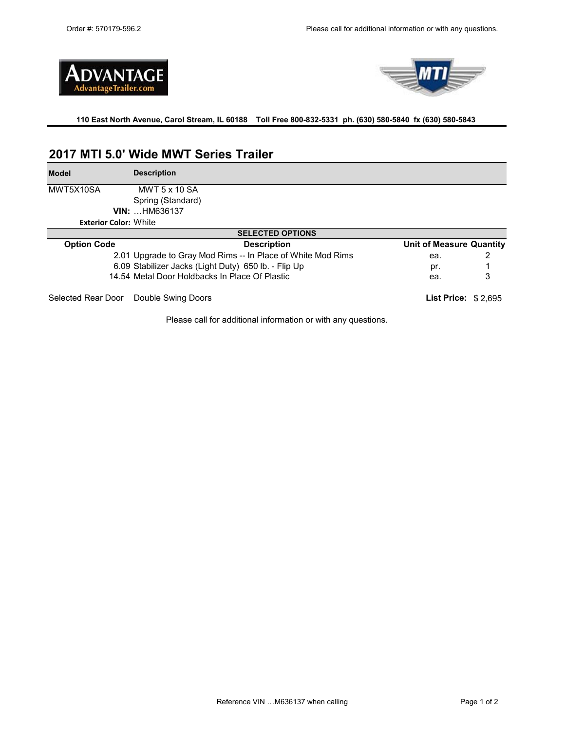



## **110 East North Avenue, Carol Stream, IL 60188 Toll Free 800-832-5331 ph. (630) 580-5840 fx (630) 580-5843**

# **2017 MTI 5.0' Wide MWT Series Trailer**

| <b>Model</b>                 | <b>Description</b>                                          |                                 |   |  |  |
|------------------------------|-------------------------------------------------------------|---------------------------------|---|--|--|
| MWT5X10SA                    | <b>MWT 5 x 10 SA</b>                                        |                                 |   |  |  |
|                              | Spring (Standard)                                           |                                 |   |  |  |
|                              | <b>VIN: HM636137</b>                                        |                                 |   |  |  |
| <b>Exterior Color: White</b> |                                                             |                                 |   |  |  |
| <b>SELECTED OPTIONS</b>      |                                                             |                                 |   |  |  |
| <b>Option Code</b>           | <b>Description</b>                                          | <b>Unit of Measure Quantity</b> |   |  |  |
|                              | 2.01 Upgrade to Gray Mod Rims -- In Place of White Mod Rims | ea.                             |   |  |  |
|                              | 6.09 Stabilizer Jacks (Light Duty) 650 lb. - Flip Up        | pr.                             |   |  |  |
|                              | 14.54 Metal Door Holdbacks In Place Of Plastic              | ea.                             | 3 |  |  |
| Selected Rear Door           | Double Swing Doors                                          | List Price: $$2,695$            |   |  |  |

Please call for additional information or with any questions.